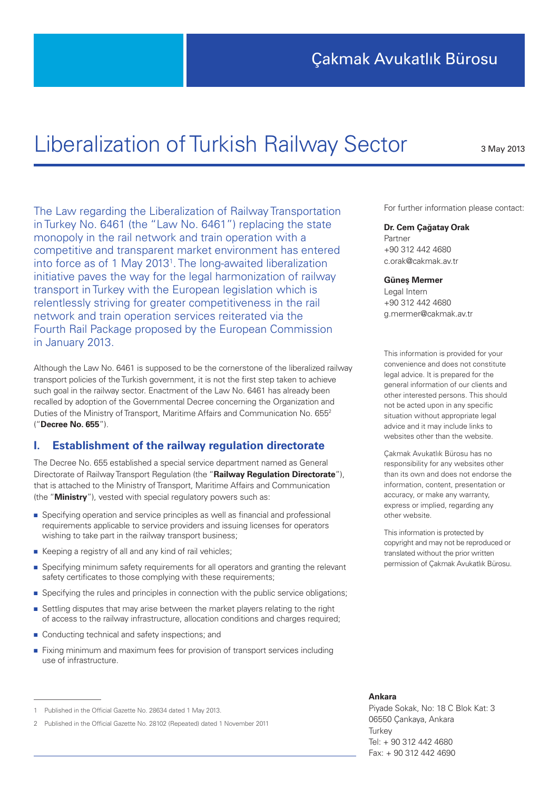# Liberalization of Turkish Railway Sector

3 May 2013

The Law regarding the Liberalization of Railway Transportation in Turkey No. 6461 (the "Law No. 6461") replacing the state monopoly in the rail network and train operation with a competitive and transparent market environment has entered into force as of 1 May 2013<sup>1</sup>. The long-awaited liberalization initiative paves the way for the legal harmonization of railway transport in Turkey with the European legislation which is relentlessly striving for greater competitiveness in the rail network and train operation services reiterated via the Fourth Rail Package proposed by the European Commission in January 2013.

Although the Law No. 6461 is supposed to be the cornerstone of the liberalized railway transport policies of the Turkish government, it is not the first step taken to achieve such goal in the railway sector. Enactment of the Law No. 6461 has already been recalled by adoption of the Governmental Decree concerning the Organization and Duties of the Ministry of Transport, Maritime Affairs and Communication No. 655<sup>2</sup> ("**Decree No. 655**").

# **I. Establishment of the railway regulation directorate**

The Decree No. 655 established a special service department named as General Directorate of Railway Transport Regulation (the "**Railway Regulation Directorate**"), that is attached to the Ministry of Transport, Maritime Affairs and Communication (the "**Ministry**"), vested with special regulatory powers such as:

- Specifying operation and service principles as well as financial and professional requirements applicable to service providers and issuing licenses for operators wishing to take part in the railway transport business;
- Keeping a registry of all and any kind of rail vehicles;
- Specifying minimum safety requirements for all operators and granting the relevant safety certificates to those complying with these requirements;
- Specifying the rules and principles in connection with the public service obligations:
- Settling disputes that may arise between the market players relating to the right of access to the railway infrastructure, allocation conditions and charges required;
- Conducting technical and safety inspections; and
- Fixing minimum and maximum fees for provision of transport services including use of infrastructure.

For further information please contact:

#### **Dr. Cem Çağatay Orak**

Partner +90 312 442 4680 c.orak@cakmak.av.tr

#### **Güneş Mermer**

Legal Intern +90 312 442 4680 g.mermer@cakmak.av.tr

This information is provided for your convenience and does not constitute legal advice. It is prepared for the general information of our clients and other interested persons. This should not be acted upon in any specific situation without appropriate legal advice and it may include links to websites other than the website.

Çakmak Avukatlık Bürosu has no responsibility for any websites other than its own and does not endorse the information, content, presentation or accuracy, or make any warranty, express or implied, regarding any other website.

This information is protected by copyright and may not be reproduced or translated without the prior written permission of Çakmak Avukatlık Bürosu.

#### **Ankara**

Piyade Sokak, No: 18 C Blok Kat: 3 06550 Çankaya, Ankara **Turkey** Tel: + 90 312 442 4680 Fax: + 90 312 442 4690

<sup>1</sup> Published in the Official Gazette No. 28634 dated 1 May 2013.

<sup>2</sup> Published in the Official Gazette No. 28102 (Repeated) dated 1 November 2011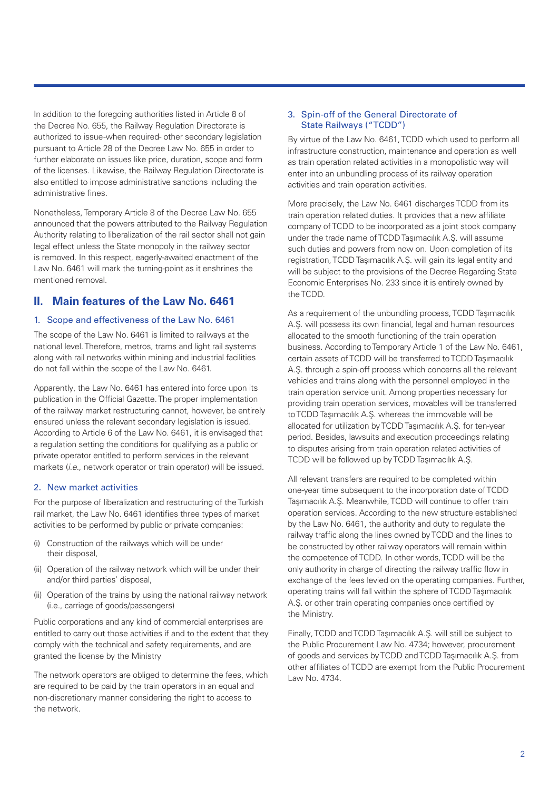In addition to the foregoing authorities listed in Article 8 of the Decree No. 655, the Railway Regulation Directorate is authorized to issue -when required- other secondary legislation pursuant to Article 28 of the Decree Law No. 655 in order to further elaborate on issues like price, duration, scope and form of the licenses. Likewise, the Railway Regulation Directorate is also entitled to impose administrative sanctions including the administrative fines.

Nonetheless, Temporary Article 8 of the Decree Law No. 655 announced that the powers attributed to the Railway Regulation Authority relating to liberalization of the rail sector shall not gain legal effect unless the State monopoly in the railway sector is removed. In this respect, eagerly-awaited enactment of the Law No. 6461 will mark the turning-point as it enshrines the mentioned removal.

# **II. Main features of the Law No. 6461**

#### 1. Scope and effectiveness of the Law No. 6461

The scope of the Law No. 6461 is limited to railways at the national level. Therefore, metros, trams and light rail systems along with rail networks within mining and industrial facilities do not fall within the scope of the Law No. 6461.

Apparently, the Law No. 6461 has entered into force upon its publication in the Official Gazette. The proper implementation of the railway market restructuring cannot, however, be entirely ensured unless the relevant secondary legislation is issued. According to Article 6 of the Law No. 6461, it is envisaged that a regulation setting the conditions for qualifying as a public or private operator entitled to perform services in the relevant markets (*i.e.*, network operator or train operator) will be issued.

#### 2. New market activities

For the purpose of liberalization and restructuring of the Turkish rail market, the Law No. 6461 identifies three types of market activities to be performed by public or private companies:

- (i) Construction of the railways which will be under their disposal,
- (ii) Operation of the railway network which will be under their and/or third parties' disposal,
- (ii) Operation of the trains by using the national railway network (i.e., carriage of goods/passengers)

Public corporations and any kind of commercial enterprises are entitled to carry out those activities if and to the extent that they comply with the technical and safety requirements, and are granted the license by the Ministry

The network operators are obliged to determine the fees, which are required to be paid by the train operators in an equal and non-discretionary manner considering the right to access to the network.

#### 3. Spin-off of the General Directorate of State Railways ("TCDD")

By virtue of the Law No. 6461, TCDD which used to perform all infrastructure construction, maintenance and operation as well as train operation related activities in a monopolistic way will enter into an unbundling process of its railway operation activities and train operation activities.

More precisely, the Law No. 6461 discharges TCDD from its train operation related duties. It provides that a new affiliate company of TCDD to be incorporated as a joint stock company under the trade name of TCDD Taşımacılık A.Ş. will assume such duties and powers from now on. Upon completion of its registration, TCDD Taşımacılık A.Ş. will gain its legal entity and will be subject to the provisions of the Decree Regarding State Economic Enterprises No. 233 since it is entirely owned by the TCDD.

As a requirement of the unbundling process, TCDD Taşımacılık A.Ş. will possess its own financial, legal and human resources allocated to the smooth functioning of the train operation business. According to Temporary Article 1 of the Law No. 6461, certain assets of TCDD will be transferred to TCDD Taşımacılık A.Ş. through a spin-off process which concerns all the relevant vehicles and trains along with the personnel employed in the train operation service unit. Among properties necessary for providing train operation services, movables will be transferred to TCDD Taşımacılık A.Ş. whereas the immovable will be allocated for utilization by TCDD Taşımacılık A.Ş. for ten-year period. Besides, lawsuits and execution proceedings relating to disputes arising from train operation related activities of TCDD will be followed up by TCDD Taşımacılık A.Ş.

All relevant transfers are required to be completed within one-year time subsequent to the incorporation date of TCDD Taşımacılık A.Ş. Meanwhile, TCDD will continue to offer train operation services. According to the new structure established by the Law No. 6461, the authority and duty to regulate the railway traffic along the lines owned by TCDD and the lines to be constructed by other railway operators will remain within the competence of TCDD. In other words, TCDD will be the only authority in charge of directing the railway traffic flow in exchange of the fees levied on the operating companies. Further, operating trains will fall within the sphere of TCDD Taşımacılık A.Ş. or other train operating companies once certified by the Ministry.

Finally, TCDD and TCDD Taşımacılık A.Ş. will still be subject to the Public Procurement Law No. 4734; however, procurement of goods and services by TCDD and TCDD Taşımacılık A.Ş. from other affiliates of TCDD are exempt from the Public Procurement Law No. 4734.